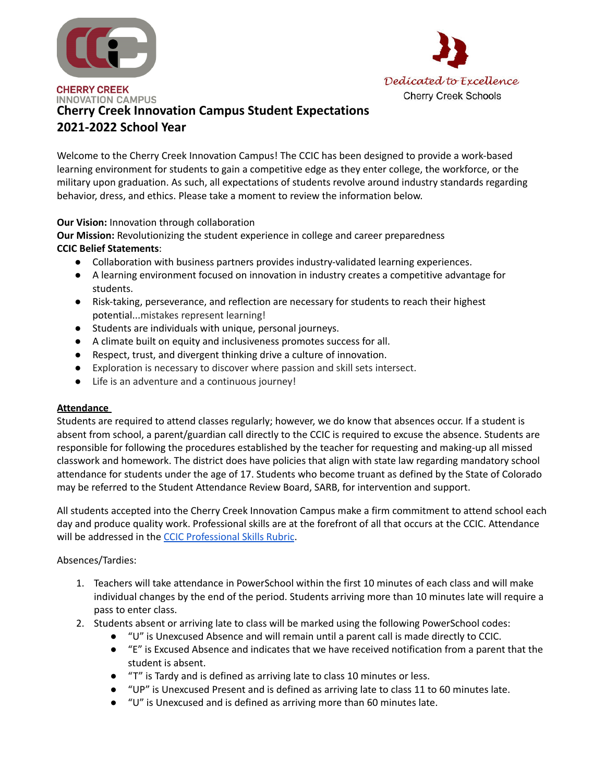



# **INNOVATION CAMPUS Cherry Creek Innovation Campus Student Expectations 2021-2022 School Year**

Welcome to the Cherry Creek Innovation Campus! The CCIC has been designed to provide a work-based learning environment for students to gain a competitive edge as they enter college, the workforce, or the military upon graduation. As such, all expectations of students revolve around industry standards regarding behavior, dress, and ethics. Please take a moment to review the information below.

## **Our Vision:** Innovation through collaboration

**Our Mission:** Revolutionizing the student experience in college and career preparedness **CCIC Belief Statements**:

- Collaboration with business partners provides industry-validated learning experiences.
- A learning environment focused on innovation in industry creates a competitive advantage for students.
- Risk-taking, perseverance, and reflection are necessary for students to reach their highest potential...mistakes represent learning!
- Students are individuals with unique, personal journeys.
- A climate built on equity and inclusiveness promotes success for all.
- Respect, trust, and divergent thinking drive a culture of innovation.
- Exploration is necessary to discover where passion and skill sets intersect.
- Life is an adventure and a continuous journey!

#### **Attendance**

Students are required to attend classes regularly; however, we do know that absences occur. If a student is absent from school, a parent/guardian call directly to the CCIC is required to excuse the absence. Students are responsible for following the procedures established by the teacher for requesting and making-up all missed classwork and homework. The district does have policies that align with state law regarding mandatory school attendance for students under the age of 17. Students who become truant as defined by the State of Colorado may be referred to the Student Attendance Review Board, SARB, for intervention and support.

All students accepted into the Cherry Creek Innovation Campus make a firm commitment to attend school each day and produce quality work. Professional skills are at the forefront of all that occurs at the CCIC. Attendance will be addressed in the CCIC [Professional](https://www.cherrycreekschools.org/site/Default.aspx?PageID=12060) Skills Rubric.

#### Absences/Tardies:

- 1. Teachers will take attendance in PowerSchool within the first 10 minutes of each class and will make individual changes by the end of the period. Students arriving more than 10 minutes late will require a pass to enter class.
- 2. Students absent or arriving late to class will be marked using the following PowerSchool codes:
	- "U" is Unexcused Absence and will remain until a parent call is made directly to CCIC.
	- "E" is Excused Absence and indicates that we have received notification from a parent that the student is absent.
	- "T" is Tardy and is defined as arriving late to class 10 minutes or less.
	- "UP" is Unexcused Present and is defined as arriving late to class 11 to 60 minutes late.
	- "U" is Unexcused and is defined as arriving more than 60 minutes late.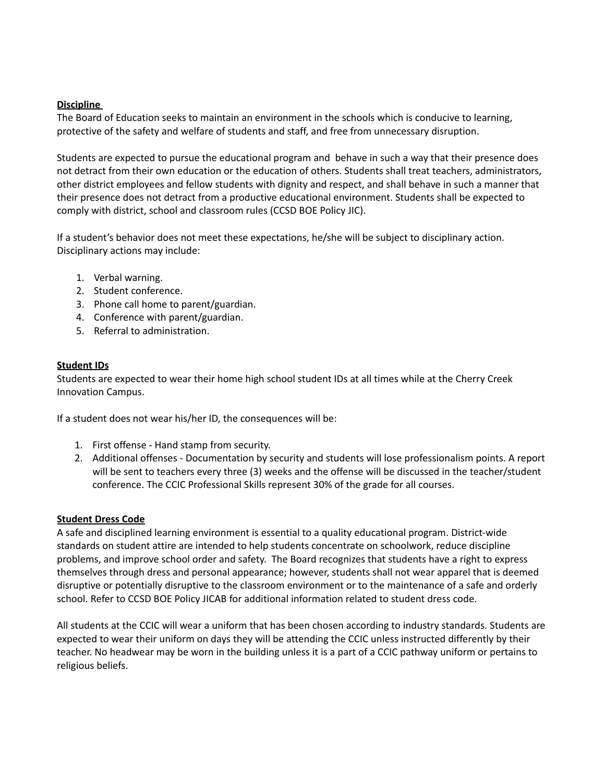#### **Discipline**

The Board of Education seeks to maintain an environment in the schools which is conducive to learning, protective of the safety and welfare of students and staff, and free from unnecessary disruption.

Students are expected to pursue the educational program and behave in such a way that their presence does not detract from their own education or the education of others. Students shall treat teachers, administrators, other district employees and fellow students with dignity and respect, and shall behave in such a manner that their presence does not detract from a productive educational environment. Students shall be expected to comply with district, school and classroom rules (CCSD BOE Policy JIC).

If a student's behavior does not meet these expectations, he/she will be subject to disciplinary action. Disciplinary actions may include:

- 1. Verbal warning.
- 2. Student conference.
- 3. Phone call home to parent/guardian.
- 4. Conference with parent/guardian.
- 5. Referral to administration.

## **Student IDs**

Students are expected to wear their home high school student IDs at all times while at the Cherry Creek Innovation Campus.

If a student does not wear his/her ID, the consequences will be:

- 1. First offense Hand stamp from security.
- 2. Additional offenses Documentation by security and students will lose professionalism points. A report will be sent to teachers every three (3) weeks and the offense will be discussed in the teacher/student conference. The CCIC Professional Skills represent 30% of the grade for all courses.

#### **Student Dress Code**

A safe and disciplined learning environment is essential to a quality educational program. District-wide standards on student attire are intended to help students concentrate on schoolwork, reduce discipline problems, and improve school order and safety. The Board recognizes that students have a right to express themselves through dress and personal appearance; however, students shall not wear apparel that is deemed disruptive or potentially disruptive to the classroom environment or to the maintenance of a safe and orderly school. Refer to CCSD BOE Policy JICAB for additional information related to student dress code.

All students at the CCIC will wear a uniform that has been chosen according to industry standards. Students are expected to wear their uniform on days they will be attending the CCIC unless instructed differently by their teacher. No headwear may be worn in the building unless it is a part of a CCIC pathway uniform or pertains to religious beliefs.